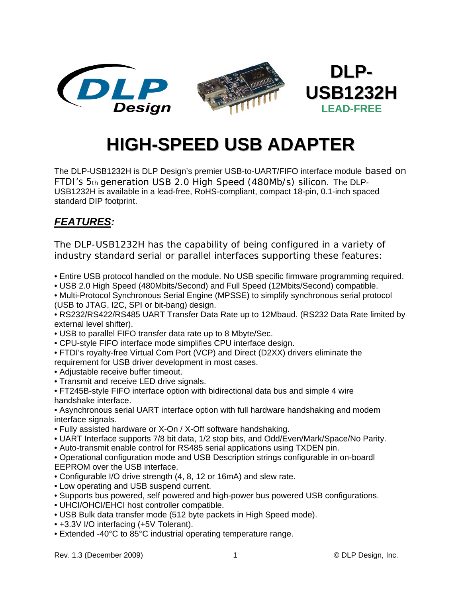

# **HIGH-SPEED USB ADAPTER**

The DLP-USB1232H is DLP Design's premier USB-to-UART/FIFO interface module based on FTDI's 5th generation USB 2.0 High Speed (480Mb/s) silicon. The DLP-USB1232H is available in a lead-free, RoHS-compliant, compact 18-pin, 0.1-inch spaced standard DIP footprint.

## *FEATURES:*

The DLP-USB1232H has the capability of being configured in a variety of industry standard serial or parallel interfaces supporting these features:

- Entire USB protocol handled on the module. No USB specific firmware programming required.
- USB 2.0 High Speed (480Mbits/Second) and Full Speed (12Mbits/Second) compatible.
- Multi-Protocol Synchronous Serial Engine (MPSSE) to simplify synchronous serial protocol (USB to JTAG, I2C, SPI or bit-bang) design.

• RS232/RS422/RS485 UART Transfer Data Rate up to 12Mbaud. (RS232 Data Rate limited by external level shifter).

- USB to parallel FIFO transfer data rate up to 8 Mbyte/Sec.
- CPU-style FIFO interface mode simplifies CPU interface design.
- FTDI's royalty-free Virtual Com Port (VCP) and Direct (D2XX) drivers eliminate the requirement for USB driver development in most cases.
- Adjustable receive buffer timeout.
- Transmit and receive LED drive signals.

• FT245B-style FIFO interface option with bidirectional data bus and simple 4 wire handshake interface.

• Asynchronous serial UART interface option with full hardware handshaking and modem interface signals.

- Fully assisted hardware or X-On / X-Off software handshaking.
- UART Interface supports 7/8 bit data, 1/2 stop bits, and Odd/Even/Mark/Space/No Parity.
- Auto-transmit enable control for RS485 serial applications using TXDEN pin.

• Operational configuration mode and USB Description strings configurable in on-boardl EEPROM over the USB interface.

- Configurable I/O drive strength (4, 8, 12 or 16mA) and slew rate.
- Low operating and USB suspend current.
- Supports bus powered, self powered and high-power bus powered USB configurations.
- UHCI/OHCI/EHCI host controller compatible.
- USB Bulk data transfer mode (512 byte packets in High Speed mode).
- +3.3V I/O interfacing (+5V Tolerant).
- Extended -40°C to 85°C industrial operating temperature range.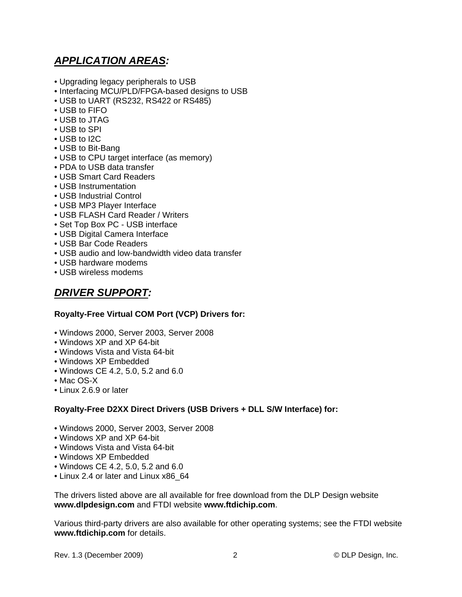## *APPLICATION AREAS:*

- Upgrading legacy peripherals to USB
- Interfacing MCU/PLD/FPGA-based designs to USB
- USB to UART (RS232, RS422 or RS485)
- USB to FIFO
- USB to JTAG
- USB to SPI
- USB to I2C
- USB to Bit-Bang
- USB to CPU target interface (as memory)
- PDA to USB data transfer
- USB Smart Card Readers
- USB Instrumentation
- USB Industrial Control
- USB MP3 Player Interface
- USB FLASH Card Reader / Writers
- Set Top Box PC USB interface
- USB Digital Camera Interface
- USB Bar Code Readers
- USB audio and low-bandwidth video data transfer
- USB hardware modems
- USB wireless modems

#### *DRIVER SUPPORT:*

#### **Royalty-Free Virtual COM Port (VCP) Drivers for:**

- Windows 2000, Server 2003, Server 2008
- Windows XP and XP 64-bit
- Windows Vista and Vista 64-bit
- Windows XP Embedded
- Windows CE 4.2, 5.0, 5.2 and 6.0
- Mac OS-X
- Linux 2.6.9 or later

#### **Royalty-Free D2XX Direct Drivers (USB Drivers + DLL S/W Interface) for:**

- Windows 2000, Server 2003, Server 2008
- Windows XP and XP 64-bit
- Windows Vista and Vista 64-bit
- Windows XP Embedded
- Windows CE 4.2, 5.0, 5.2 and 6.0
- Linux 2.4 or later and Linux x86\_64

The drivers listed above are all available for free download from the DLP Design website **www.dlpdesign.com** and FTDI website **www.ftdichip.com**.

Various third-party drivers are also available for other operating systems; see the FTDI website **www.ftdichip.com** for details.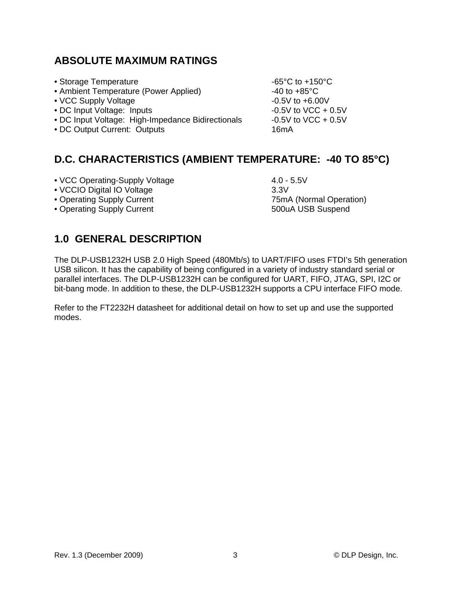#### **ABSOLUTE MAXIMUM RATINGS**

- Storage Temperature  $-65^{\circ}$ C to +150 $^{\circ}$ C
- Ambient Temperature (Power Applied) 40 to +85°C
- VCC Supply Voltage  $-0.5V$  to  $+6.00V$
- DC Input Voltage: Inputs -0.5V to VCC + 0.5V
- DC Input Voltage: High-Impedance Bidirectionals -0.5V to VCC + 0.5V
- DC Output Current: Outputs 16mA

## **D.C. CHARACTERISTICS (AMBIENT TEMPERATURE: -40 TO 85°C)**

- VCC Operating-Supply Voltage 4.0 5.5V
- VCCIO Digital IO Voltage 3.3V
- Operating Supply Current 75mA (Normal Operation)
- Operating Supply Current 500uA USB Suspend

## **1.0 GENERAL DESCRIPTION**

The DLP-USB1232H USB 2.0 High Speed (480Mb/s) to UART/FIFO uses FTDI's 5th generation USB silicon. It has the capability of being configured in a variety of industry standard serial or parallel interfaces. The DLP-USB1232H can be configured for UART, FIFO, JTAG, SPI, I2C or bit-bang mode. In addition to these, the DLP-USB1232H supports a CPU interface FIFO mode.

Refer to the FT2232H datasheet for additional detail on how to set up and use the supported modes.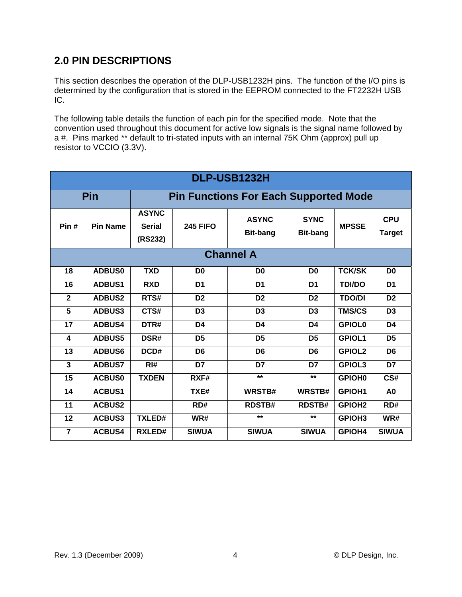## **2.0 PIN DESCRIPTIONS**

This section describes the operation of the DLP-USB1232H pins. The function of the I/O pins is determined by the configuration that is stored in the EEPROM connected to the FT2232H USB IC.

The following table details the function of each pin for the specified mode. Note that the convention used throughout this document for active low signals is the signal name followed by a #. Pins marked \*\* default to tri-stated inputs with an internal 75K Ohm (approx) pull up resistor to VCCIO (3.3V).

| DLP-USB1232H   |                  |                                              |                 |                                 |                                |               |                             |
|----------------|------------------|----------------------------------------------|-----------------|---------------------------------|--------------------------------|---------------|-----------------------------|
| Pin            |                  | <b>Pin Functions For Each Supported Mode</b> |                 |                                 |                                |               |                             |
| Pin#           | <b>Pin Name</b>  | <b>ASYNC</b><br><b>Serial</b><br>(RS232)     | <b>245 FIFO</b> | <b>ASYNC</b><br><b>Bit-bang</b> | <b>SYNC</b><br><b>Bit-bang</b> | <b>MPSSE</b>  | <b>CPU</b><br><b>Target</b> |
|                | <b>Channel A</b> |                                              |                 |                                 |                                |               |                             |
| 18             | <b>ADBUS0</b>    | <b>TXD</b>                                   | D <sub>0</sub>  | D <sub>0</sub>                  | D <sub>0</sub>                 | <b>TCK/SK</b> | D <sub>0</sub>              |
| 16             | <b>ADBUS1</b>    | <b>RXD</b>                                   | D <sub>1</sub>  | D <sub>1</sub>                  | D <sub>1</sub>                 | <b>TDI/DO</b> | D <sub>1</sub>              |
| $\mathbf{2}$   | <b>ADBUS2</b>    | RTS#                                         | D <sub>2</sub>  | D <sub>2</sub>                  | D <sub>2</sub>                 | <b>TDO/DI</b> | D <sub>2</sub>              |
| 5              | <b>ADBUS3</b>    | CTS#                                         | D <sub>3</sub>  | D <sub>3</sub>                  | D <sub>3</sub>                 | <b>TMS/CS</b> | D <sub>3</sub>              |
| 17             | <b>ADBUS4</b>    | DTR#                                         | D <sub>4</sub>  | D <sub>4</sub>                  | D <sub>4</sub>                 | <b>GPIOL0</b> | D <sub>4</sub>              |
| 4              | <b>ADBUS5</b>    | DSR#                                         | D <sub>5</sub>  | D <sub>5</sub>                  | D <sub>5</sub>                 | <b>GPIOL1</b> | D <sub>5</sub>              |
| 13             | <b>ADBUS6</b>    | DCD#                                         | D <sub>6</sub>  | D <sub>6</sub>                  | D <sub>6</sub>                 | <b>GPIOL2</b> | D <sub>6</sub>              |
| 3              | <b>ADBUS7</b>    | $R$ <sup>#</sup>                             | D7              | D7                              | D7                             | <b>GPIOL3</b> | D7                          |
| 15             | <b>ACBUS0</b>    | <b>TXDEN</b>                                 | RXF#            | $**$                            | $**$                           | <b>GPIOH0</b> | CS#                         |
| 14             | <b>ACBUS1</b>    |                                              | TXE#            | WRSTB#                          | WRSTB#                         | <b>GPIOH1</b> | A <sub>0</sub>              |
| 11             | <b>ACBUS2</b>    |                                              | RD#             | <b>RDSTB#</b>                   | <b>RDSTB#</b>                  | <b>GPIOH2</b> | RD#                         |
| 12             | <b>ACBUS3</b>    | <b>TXLED#</b>                                | WR#             | $**$                            | $**$                           | <b>GPIOH3</b> | WR#                         |
| $\overline{7}$ | <b>ACBUS4</b>    | <b>RXLED#</b>                                | <b>SIWUA</b>    | <b>SIWUA</b>                    | <b>SIWUA</b>                   | GPIOH4        | <b>SIWUA</b>                |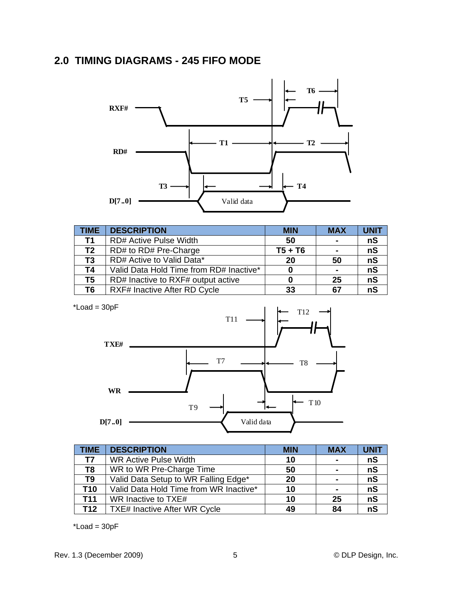## **2.0 TIMING DIAGRAMS - 245 FIFO MODE**



| <b>TIME</b>    | <b>DESCRIPTION</b>                      | <b>MIN</b> | <b>MAX</b>     | <b>UNIT</b> |
|----------------|-----------------------------------------|------------|----------------|-------------|
| T1             | <b>RD# Active Pulse Width</b>           | 50         | $\blacksquare$ | nS          |
| T <sub>2</sub> | RD# to RD# Pre-Charge                   | $T5 + T6$  | $\blacksquare$ | nS          |
| T <sub>3</sub> | RD# Active to Valid Data*               | 20         | 50             | nS          |
| T4             | Valid Data Hold Time from RD# Inactive* |            | $\blacksquare$ | nS          |
| T5             | RD# Inactive to RXF# output active      |            | 25             | nS          |
| T6             | RXF# Inactive After RD Cycle            | 33         | 67             | nS          |

 $*$ Load = 30pF



| <b>TIME</b>    | <b>DESCRIPTION</b>                     | <b>MIN</b> | <b>MAX</b>     | <b>UNIT</b> |
|----------------|----------------------------------------|------------|----------------|-------------|
| T7             | <b>WR Active Pulse Width</b>           | 10         | $\sim$         | nS          |
| T <sub>8</sub> | WR to WR Pre-Charge Time               | 50         | $\blacksquare$ | nS          |
| T <sub>9</sub> | Valid Data Setup to WR Falling Edge*   | 20         | $\blacksquare$ | nS          |
| <b>T10</b>     | Valid Data Hold Time from WR Inactive* | 10         | $\blacksquare$ | nS          |
| <b>T11</b>     | WR Inactive to TXE#                    | 10         | 25             | nS          |
| <b>T12</b>     | <b>TXE# Inactive After WR Cycle</b>    | 49         | 84             | nS          |

 $*$ Load = 30pF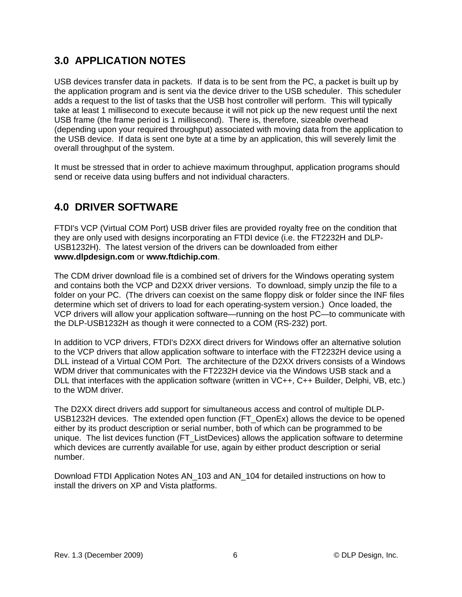## **3.0 APPLICATION NOTES**

USB devices transfer data in packets. If data is to be sent from the PC, a packet is built up by the application program and is sent via the device driver to the USB scheduler. This scheduler adds a request to the list of tasks that the USB host controller will perform. This will typically take at least 1 millisecond to execute because it will not pick up the new request until the next USB frame (the frame period is 1 millisecond). There is, therefore, sizeable overhead (depending upon your required throughput) associated with moving data from the application to the USB device. If data is sent one byte at a time by an application, this will severely limit the overall throughput of the system.

It must be stressed that in order to achieve maximum throughput, application programs should send or receive data using buffers and not individual characters.

# **4.0 DRIVER SOFTWARE**

FTDI's VCP (Virtual COM Port) USB driver files are provided royalty free on the condition that they are only used with designs incorporating an FTDI device (i.e. the FT2232H and DLP-USB1232H). The latest version of the drivers can be downloaded from either **www.dlpdesign.com** or **www.ftdichip.com**.

The CDM driver download file is a combined set of drivers for the Windows operating system and contains both the VCP and D2XX driver versions. To download, simply unzip the file to a folder on your PC. (The drivers can coexist on the same floppy disk or folder since the INF files determine which set of drivers to load for each operating-system version.) Once loaded, the VCP drivers will allow your application software—running on the host PC—to communicate with the DLP-USB1232H as though it were connected to a COM (RS-232) port.

In addition to VCP drivers, FTDI's D2XX direct drivers for Windows offer an alternative solution to the VCP drivers that allow application software to interface with the FT2232H device using a DLL instead of a Virtual COM Port. The architecture of the D2XX drivers consists of a Windows WDM driver that communicates with the FT2232H device via the Windows USB stack and a DLL that interfaces with the application software (written in VC++, C++ Builder, Delphi, VB, etc.) to the WDM driver.

The D2XX direct drivers add support for simultaneous access and control of multiple DLP-USB1232H devices. The extended open function (FT\_OpenEx) allows the device to be opened either by its product description or serial number, both of which can be programmed to be unique. The list devices function (FT\_ListDevices) allows the application software to determine which devices are currently available for use, again by either product description or serial number.

Download FTDI Application Notes AN\_103 and AN\_104 for detailed instructions on how to install the drivers on XP and Vista platforms.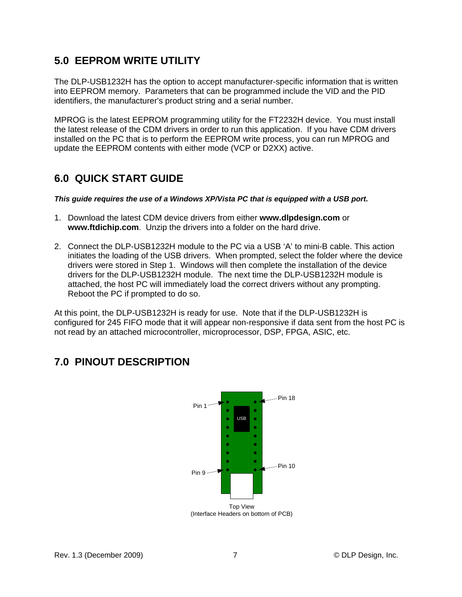## **5.0 EEPROM WRITE UTILITY**

The DLP-USB1232H has the option to accept manufacturer-specific information that is written into EEPROM memory. Parameters that can be programmed include the VID and the PID identifiers, the manufacturer's product string and a serial number.

MPROG is the latest EEPROM programming utility for the FT2232H device. You must install the latest release of the CDM drivers in order to run this application. If you have CDM drivers installed on the PC that is to perform the EEPROM write process, you can run MPROG and update the EEPROM contents with either mode (VCP or D2XX) active.

## **6.0 QUICK START GUIDE**

*This guide requires the use of a Windows XP/Vista PC that is equipped with a USB port.* 

- 1. Download the latest CDM device drivers from either **www.dlpdesign.com** or **www.ftdichip.com**. Unzip the drivers into a folder on the hard drive.
- 2. Connect the DLP-USB1232H module to the PC via a USB 'A' to mini-B cable. This action initiates the loading of the USB drivers. When prompted, select the folder where the device drivers were stored in Step 1. Windows will then complete the installation of the device drivers for the DLP-USB1232H module. The next time the DLP-USB1232H module is attached, the host PC will immediately load the correct drivers without any prompting. Reboot the PC if prompted to do so.

At this point, the DLP-USB1232H is ready for use. Note that if the DLP-USB1232H is configured for 245 FIFO mode that it will appear non-responsive if data sent from the host PC is not read by an attached microcontroller, microprocessor, DSP, FPGA, ASIC, etc.

# **7.0 PINOUT DESCRIPTION**

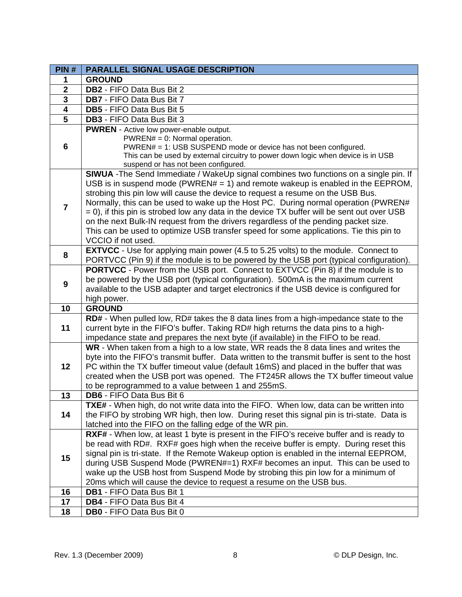| PIN#                    | <b>PARALLEL SIGNAL USAGE DESCRIPTION</b>                                                                                                                                    |
|-------------------------|-----------------------------------------------------------------------------------------------------------------------------------------------------------------------------|
| 1                       | <b>GROUND</b>                                                                                                                                                               |
| $\overline{2}$          | DB2 - FIFO Data Bus Bit 2                                                                                                                                                   |
| $\overline{\mathbf{3}}$ | DB7 - FIFO Data Bus Bit 7                                                                                                                                                   |
| $\overline{4}$          | DB5 - FIFO Data Bus Bit 5                                                                                                                                                   |
| $\overline{5}$          | <b>DB3</b> - FIFO Data Bus Bit 3                                                                                                                                            |
|                         | PWREN - Active low power-enable output.                                                                                                                                     |
|                         | $PWREN# = 0$ : Normal operation.                                                                                                                                            |
| 6                       | PWREN# = 1: USB SUSPEND mode or device has not been configured.                                                                                                             |
|                         | This can be used by external circuitry to power down logic when device is in USB                                                                                            |
|                         | suspend or has not been configured.                                                                                                                                         |
|                         | SIWUA - The Send Immediate / WakeUp signal combines two functions on a single pin. If                                                                                       |
|                         | USB is in suspend mode (PWREN# = 1) and remote wakeup is enabled in the EEPROM,                                                                                             |
|                         | strobing this pin low will cause the device to request a resume on the USB Bus.                                                                                             |
| $\overline{7}$          | Normally, this can be used to wake up the Host PC. During normal operation (PWREN#                                                                                          |
|                         | $= 0$ ), if this pin is strobed low any data in the device TX buffer will be sent out over USB                                                                              |
|                         | on the next Bulk-IN request from the drivers regardless of the pending packet size.                                                                                         |
|                         | This can be used to optimize USB transfer speed for some applications. Tie this pin to                                                                                      |
|                         | VCCIO if not used.                                                                                                                                                          |
| 8                       | <b>EXTVCC</b> - Use for applying main power (4.5 to 5.25 volts) to the module. Connect to                                                                                   |
|                         | PORTVCC (Pin 9) if the module is to be powered by the USB port (typical configuration).                                                                                     |
|                         | <b>PORTVCC</b> - Power from the USB port. Connect to EXTVCC (Pin 8) if the module is to                                                                                     |
| 9                       | be powered by the USB port (typical configuration). 500mA is the maximum current                                                                                            |
|                         | available to the USB adapter and target electronics if the USB device is configured for                                                                                     |
|                         | high power.                                                                                                                                                                 |
| 10                      | <b>GROUND</b>                                                                                                                                                               |
| 11                      | RD# - When pulled low, RD# takes the 8 data lines from a high-impedance state to the<br>current byte in the FIFO's buffer. Taking RD# high returns the data pins to a high- |
|                         | impedance state and prepares the next byte (if available) in the FIFO to be read.                                                                                           |
|                         | WR - When taken from a high to a low state, WR reads the 8 data lines and writes the                                                                                        |
|                         | byte into the FIFO's transmit buffer. Data written to the transmit buffer is sent to the host                                                                               |
| 12                      | PC within the TX buffer timeout value (default 16mS) and placed in the buffer that was                                                                                      |
|                         | created when the USB port was opened. The FT245R allows the TX buffer timeout value                                                                                         |
|                         | to be reprogrammed to a value between 1 and 255mS.                                                                                                                          |
| 13                      | DB6 - FIFO Data Bus Bit 6                                                                                                                                                   |
|                         | <b>TXE#</b> - When high, do not write data into the FIFO. When low, data can be written into                                                                                |
| 14                      | the FIFO by strobing WR high, then low. During reset this signal pin is tri-state. Data is                                                                                  |
|                         | latched into the FIFO on the falling edge of the WR pin.                                                                                                                    |
|                         | RXF# - When low, at least 1 byte is present in the FIFO's receive buffer and is ready to                                                                                    |
|                         | be read with RD#. RXF# goes high when the receive buffer is empty. During reset this                                                                                        |
| 15                      | signal pin is tri-state. If the Remote Wakeup option is enabled in the internal EEPROM,                                                                                     |
|                         | during USB Suspend Mode (PWREN#=1) RXF# becomes an input. This can be used to                                                                                               |
|                         | wake up the USB host from Suspend Mode by strobing this pin low for a minimum of                                                                                            |
|                         | 20ms which will cause the device to request a resume on the USB bus.                                                                                                        |
| 16                      | DB1 - FIFO Data Bus Bit 1                                                                                                                                                   |
| 17                      | DB4 - FIFO Data Bus Bit 4                                                                                                                                                   |
| 18                      | DB0 - FIFO Data Bus Bit 0                                                                                                                                                   |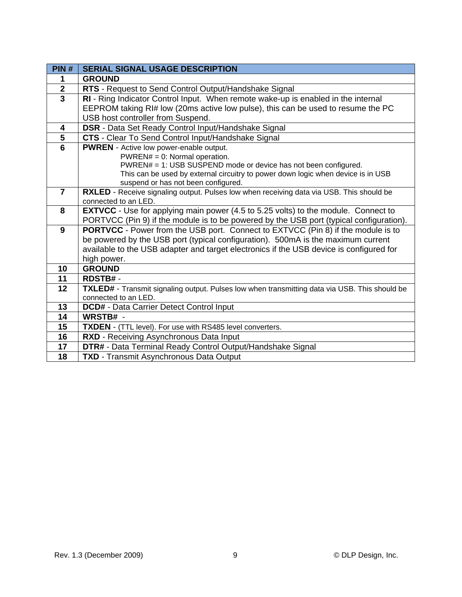| PIN#                    | <b>SERIAL SIGNAL USAGE DESCRIPTION</b>                                                                                                                                               |
|-------------------------|--------------------------------------------------------------------------------------------------------------------------------------------------------------------------------------|
| 1                       | <b>GROUND</b>                                                                                                                                                                        |
| $\overline{2}$          | RTS - Request to Send Control Output/Handshake Signal                                                                                                                                |
| $\overline{3}$          | RI - Ring Indicator Control Input. When remote wake-up is enabled in the internal                                                                                                    |
|                         | EEPROM taking RI# low (20ms active low pulse), this can be used to resume the PC                                                                                                     |
|                         | USB host controller from Suspend.                                                                                                                                                    |
| 4                       | DSR - Data Set Ready Control Input/Handshake Signal                                                                                                                                  |
| 5                       | CTS - Clear To Send Control Input/Handshake Signal                                                                                                                                   |
| $\overline{\mathbf{6}}$ | <b>PWREN</b> - Active low power-enable output.                                                                                                                                       |
|                         | $PWREN# = 0$ : Normal operation.                                                                                                                                                     |
|                         | PWREN# = 1: USB SUSPEND mode or device has not been configured.                                                                                                                      |
|                         | This can be used by external circuitry to power down logic when device is in USB                                                                                                     |
|                         | suspend or has not been configured.                                                                                                                                                  |
| $\overline{7}$          | RXLED - Receive signaling output. Pulses low when receiving data via USB. This should be                                                                                             |
| 8                       | connected to an LED.                                                                                                                                                                 |
|                         | <b>EXTVCC</b> - Use for applying main power (4.5 to 5.25 volts) to the module. Connect to<br>PORTVCC (Pin 9) if the module is to be powered by the USB port (typical configuration). |
| 9                       | <b>PORTVCC</b> - Power from the USB port. Connect to EXTVCC (Pin 8) if the module is to                                                                                              |
|                         | be powered by the USB port (typical configuration). 500mA is the maximum current                                                                                                     |
|                         |                                                                                                                                                                                      |
|                         | available to the USB adapter and target electronics if the USB device is configured for                                                                                              |
| 10                      | high power.<br><b>GROUND</b>                                                                                                                                                         |
| 11                      | <b>RDSTB#-</b>                                                                                                                                                                       |
| 12                      |                                                                                                                                                                                      |
|                         | <b>TXLED#</b> - Transmit signaling output. Pulses low when transmitting data via USB. This should be<br>connected to an LED.                                                         |
| 13                      | DCD# - Data Carrier Detect Control Input                                                                                                                                             |
| 14                      | WRSTB# -                                                                                                                                                                             |
| 15                      | TXDEN - (TTL level). For use with RS485 level converters.                                                                                                                            |
| 16                      |                                                                                                                                                                                      |
| 17                      | RXD - Receiving Asynchronous Data Input                                                                                                                                              |
|                         | DTR# - Data Terminal Ready Control Output/Handshake Signal                                                                                                                           |
| 18                      | <b>TXD</b> - Transmit Asynchronous Data Output                                                                                                                                       |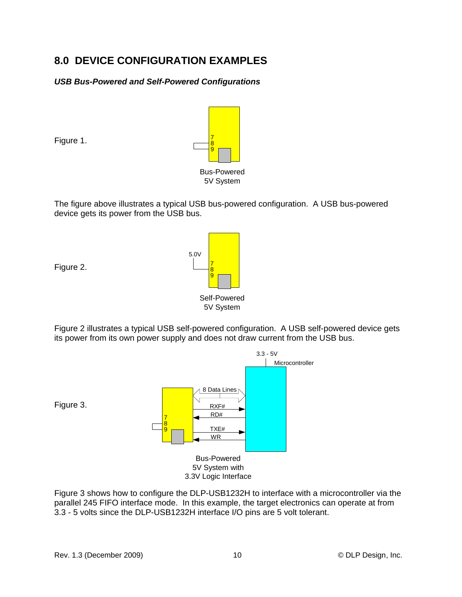## **8.0 DEVICE CONFIGURATION EXAMPLES**

#### *USB Bus-Powered and Self-Powered Configurations*



The figure above illustrates a typical USB bus-powered configuration. A USB bus-powered device gets its power from the USB bus.



Figure 2.

Figure 1.

Figure 2 illustrates a typical USB self-powered configuration. A USB self-powered device gets its power from its own power supply and does not draw current from the USB bus.



Figure 3 shows how to configure the DLP-USB1232H to interface with a microcontroller via the parallel 245 FIFO interface mode. In this example, the target electronics can operate at from 3.3 - 5 volts since the DLP-USB1232H interface I/O pins are 5 volt tolerant.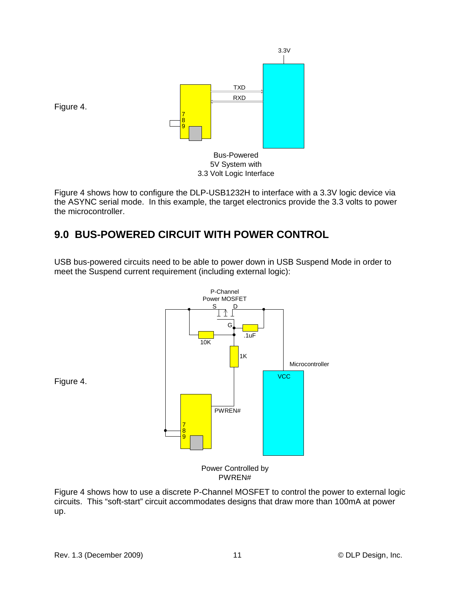

Figure 4 shows how to configure the DLP-USB1232H to interface with a 3.3V logic device via the ASYNC serial mode. In this example, the target electronics provide the 3.3 volts to power the microcontroller.

## **9.0 BUS-POWERED CIRCUIT WITH POWER CONTROL**

USB bus-powered circuits need to be able to power down in USB Suspend Mode in order to meet the Suspend current requirement (including external logic):



PWREN#

Figure 4 shows how to use a discrete P-Channel MOSFET to control the power to external logic circuits. This "soft-start" circuit accommodates designs that draw more than 100mA at power up.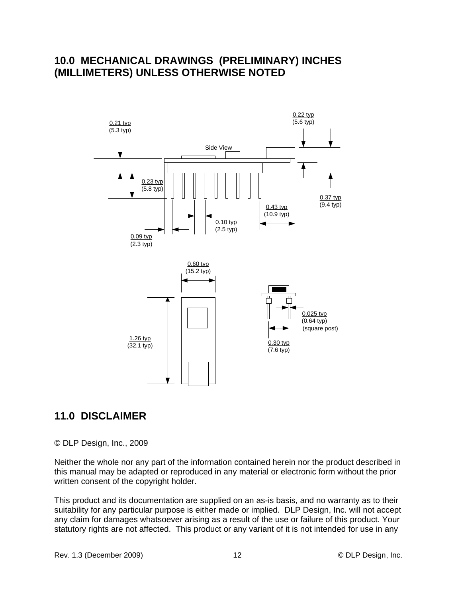#### **10.0 MECHANICAL DRAWINGS (PRELIMINARY) INCHES (MILLIMETERS) UNLESS OTHERWISE NOTED**



#### **11.0 DISCLAIMER**

© DLP Design, Inc., 2009

Neither the whole nor any part of the information contained herein nor the product described in this manual may be adapted or reproduced in any material or electronic form without the prior written consent of the copyright holder.

This product and its documentation are supplied on an as-is basis, and no warranty as to their suitability for any particular purpose is either made or implied. DLP Design, Inc. will not accept any claim for damages whatsoever arising as a result of the use or failure of this product. Your statutory rights are not affected. This product or any variant of it is not intended for use in any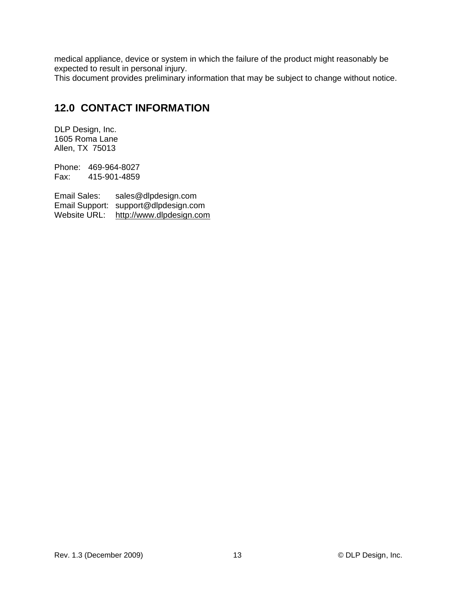medical appliance, device or system in which the failure of the product might reasonably be expected to result in personal injury.

This document provides preliminary information that may be subject to change without notice.

### **12.0 CONTACT INFORMATION**

DLP Design, Inc. 1605 Roma Lane Allen, TX 75013

Phone: 469-964-8027 Fax: 415-901-4859

Email Sales: sales@dlpdesign.com Email Support: support@dlpdesign.com Website URL: http://www.dlpdesign.com